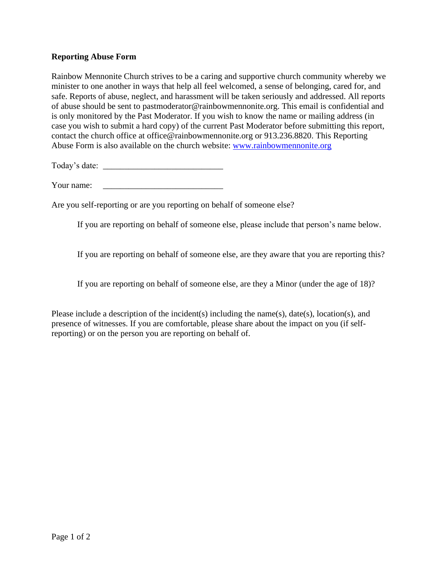## **Reporting Abuse Form**

Rainbow Mennonite Church strives to be a caring and supportive church community whereby we minister to one another in ways that help all feel welcomed, a sense of belonging, cared for, and safe. Reports of abuse, neglect, and harassment will be taken seriously and addressed. All reports of abuse should be sent to pastmoderator@rainbowmennonite.org. This email is confidential and is only monitored by the Past Moderator. If you wish to know the name or mailing address (in case you wish to submit a hard copy) of the current Past Moderator before submitting this report, contact the church office at office@rainbowmennonite.org or 913.236.8820. This Reporting Abuse Form is also available on the church website: [www.rainbowmennonite.org](http://www.rainbowmennonite.org/)

Today's date: \_\_\_\_\_\_\_\_\_\_\_\_\_\_\_\_\_\_\_\_\_\_\_\_\_\_\_\_

Your name:

Are you self-reporting or are you reporting on behalf of someone else?

If you are reporting on behalf of someone else, please include that person's name below.

If you are reporting on behalf of someone else, are they aware that you are reporting this?

If you are reporting on behalf of someone else, are they a Minor (under the age of 18)?

Please include a description of the incident(s) including the name(s), date(s), location(s), and presence of witnesses. If you are comfortable, please share about the impact on you (if selfreporting) or on the person you are reporting on behalf of.